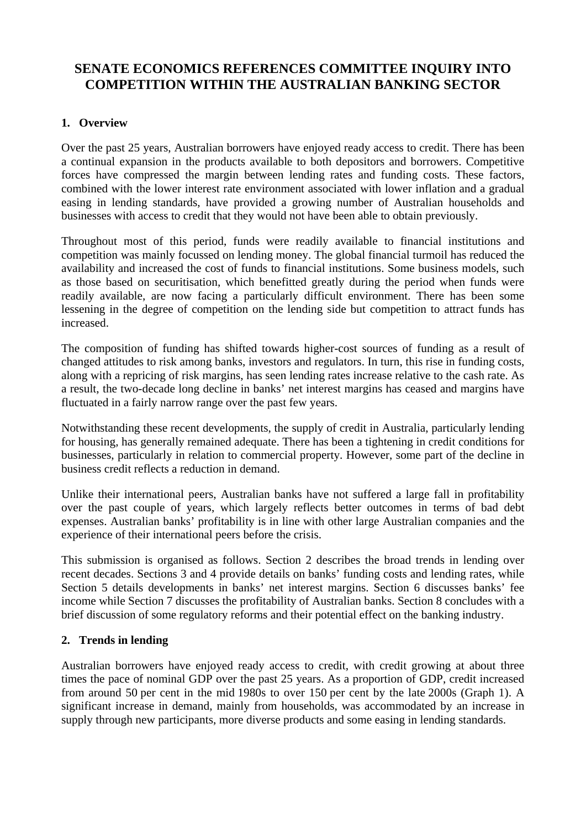# **SENATE ECONOMICS REFERENCES COMMITTEE INQUIRY INTO COMPETITION WITHIN THE AUSTRALIAN BANKING SECTOR**

# **1. Overview**

Over the past 25 years, Australian borrowers have enjoyed ready access to credit. There has been a continual expansion in the products available to both depositors and borrowers. Competitive forces have compressed the margin between lending rates and funding costs. These factors, combined with the lower interest rate environment associated with lower inflation and a gradual easing in lending standards, have provided a growing number of Australian households and businesses with access to credit that they would not have been able to obtain previously.

Throughout most of this period, funds were readily available to financial institutions and competition was mainly focussed on lending money. The global financial turmoil has reduced the availability and increased the cost of funds to financial institutions. Some business models, such as those based on securitisation, which benefitted greatly during the period when funds were readily available, are now facing a particularly difficult environment. There has been some lessening in the degree of competition on the lending side but competition to attract funds has increased.

The composition of funding has shifted towards higher-cost sources of funding as a result of changed attitudes to risk among banks, investors and regulators. In turn, this rise in funding costs, along with a repricing of risk margins, has seen lending rates increase relative to the cash rate. As a result, the two-decade long decline in banks' net interest margins has ceased and margins have fluctuated in a fairly narrow range over the past few years.

Notwithstanding these recent developments, the supply of credit in Australia, particularly lending for housing, has generally remained adequate. There has been a tightening in credit conditions for businesses, particularly in relation to commercial property. However, some part of the decline in business credit reflects a reduction in demand.

Unlike their international peers, Australian banks have not suffered a large fall in profitability over the past couple of years, which largely reflects better outcomes in terms of bad debt expenses. Australian banks' profitability is in line with other large Australian companies and the experience of their international peers before the crisis.

This submission is organised as follows. Section 2 describes the broad trends in lending over recent decades. Sections 3 and 4 provide details on banks' funding costs and lending rates, while Section 5 details developments in banks' net interest margins. Section 6 discusses banks' fee income while Section 7 discusses the profitability of Australian banks. Section 8 concludes with a brief discussion of some regulatory reforms and their potential effect on the banking industry.

# **2. Trends in lending**

Australian borrowers have enjoyed ready access to credit, with credit growing at about three times the pace of nominal GDP over the past 25 years. As a proportion of GDP, credit increased from around 50 per cent in the mid 1980s to over 150 per cent by the late 2000s (Graph 1). A significant increase in demand, mainly from households, was accommodated by an increase in supply through new participants, more diverse products and some easing in lending standards.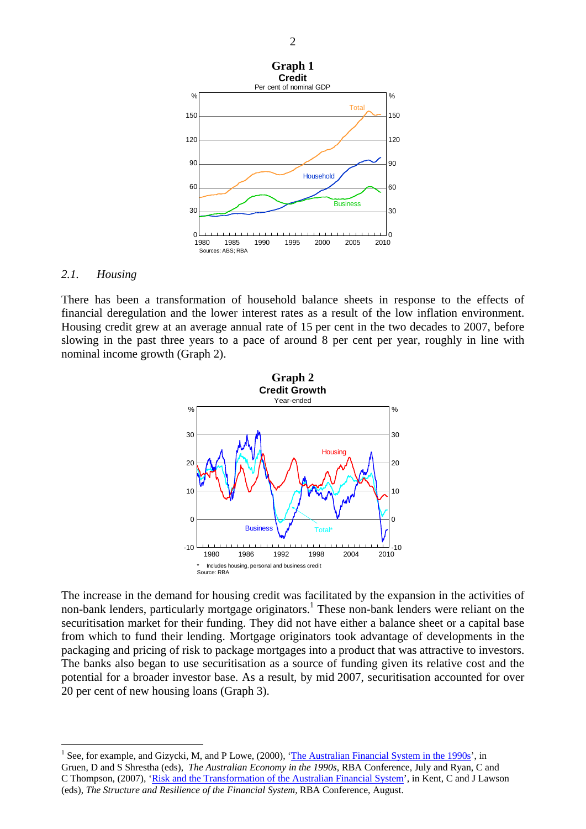

### *2.1. Housing*

 $\overline{a}$ 

There has been a transformation of household balance sheets in response to the effects of financial deregulation and the lower interest rates as a result of the low inflation environment. Housing credit grew at an average annual rate of 15 per cent in the two decades to 2007, before slowing in the past three years to a pace of around 8 per cent per year, roughly in line with nominal income growth (Graph 2).



The increase in the demand for housing credit was facilitated by the expansion in the activities of non-bank lenders, particularly mortgage originators.<sup>1</sup> These non-bank lenders were reliant on the securitisation market for their funding. They did not have either a balance sheet or a capital base from which to fund their lending. Mortgage originators took advantage of developments in the packaging and pricing of risk to package mortgages into a product that was attractive to investors. The banks also began to use securitisation as a source of funding given its relative cost and the potential for a broader investor base. As a result, by mid 2007, securitisation accounted for over 20 per cent of new housing loans (Graph 3).

<sup>&</sup>lt;sup>1</sup> See, for example, and Gizycki, M, and P Lowe, (2000), ['The Australian Financial System in the 1990s'](http://www.rba.gov.au/publications/confs/2000/gizycki-lowe.pdf), in Gruen, D and S Shrestha (eds), *The Australian Economy in the 1990s*, RBA Conference, July and Ryan, C and C Thompson, (2007), ['Risk and the Transformation of the Australian Financial System](http://www.rba.gov.au/publications/confs/2007/ryan-thompson.pdf)', in Kent, C and J Lawson (eds), *The Structure and Resilience of the Financial System,* RBA Conference, August.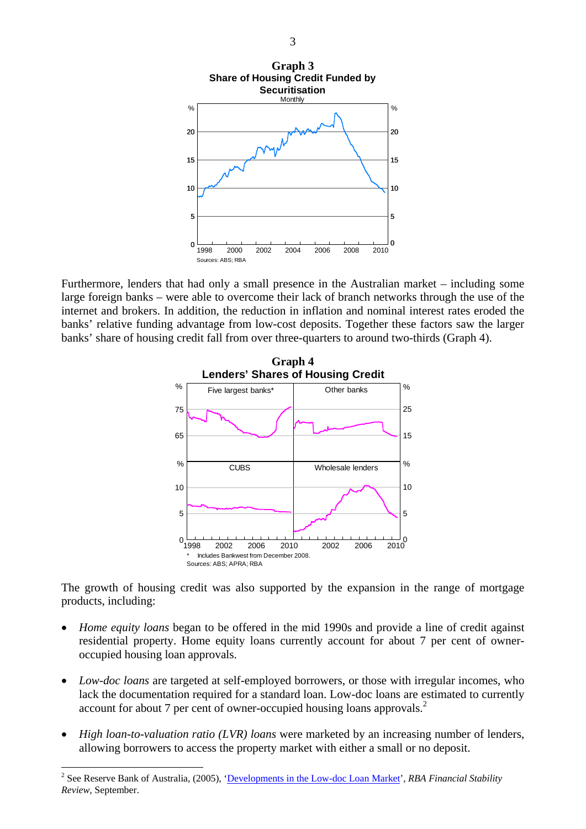

Furthermore, lenders that had only a small presence in the Australian market – including some large foreign banks – were able to overcome their lack of branch networks through the use of the internet and brokers. In addition, the reduction in inflation and nominal interest rates eroded the banks' relative funding advantage from low-cost deposits. Together these factors saw the larger banks' share of housing credit fall from over three-quarters to around two-thirds (Graph 4).



The growth of housing credit was also supported by the expansion in the range of mortgage products, including:

- *Home equity loans* began to be offered in the mid 1990s and provide a line of credit against residential property. Home equity loans currently account for about 7 per cent of owneroccupied housing loan approvals.
- *Low-doc loans* are targeted at self-employed borrowers, or those with irregular incomes, who lack the documentation required for a standard loan. Low-doc loans are estimated to currently account for about 7 per cent of owner-occupied housing loans approvals.<sup>2</sup>
- *High loan-to-valuation ratio (LVR) loans* were marketed by an increasing number of lenders, allowing borrowers to access the property market with either a small or no deposit.

 $\overline{a}$ 

<sup>&</sup>lt;sup>2</sup> See Reserve Bank of Australia, (2005), '[Developments in the Low-doc Loan Market'](http://www.rba.gov.au/publications/fsr/2005/sep/html/box-b.html), *RBA Financial Stability Review*, September.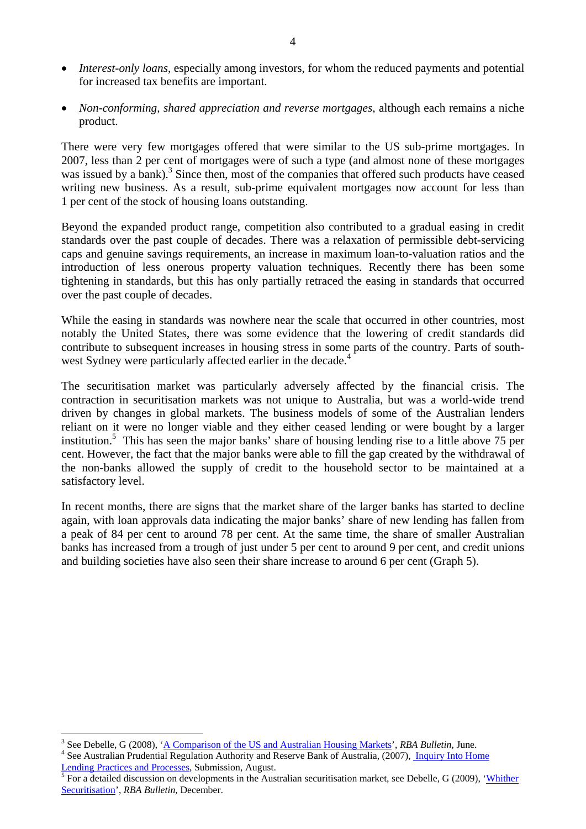- *Interest-only loans*, especially among investors, for whom the reduced payments and potential for increased tax benefits are important.
- *Non-conforming, shared appreciation and reverse mortgages*, although each remains a niche product.

There were very few mortgages offered that were similar to the US sub-prime mortgages. In 2007, less than 2 per cent of mortgages were of such a type (and almost none of these mortgages was issued by a bank).<sup>3</sup> Since then, most of the companies that offered such products have ceased writing new business. As a result, sub-prime equivalent mortgages now account for less than 1 per cent of the stock of housing loans outstanding.

Beyond the expanded product range, competition also contributed to a gradual easing in credit standards over the past couple of decades. There was a relaxation of permissible debt-servicing caps and genuine savings requirements, an increase in maximum loan-to-valuation ratios and the introduction of less onerous property valuation techniques. Recently there has been some tightening in standards, but this has only partially retraced the easing in standards that occurred over the past couple of decades.

While the easing in standards was nowhere near the scale that occurred in other countries, most notably the United States, there was some evidence that the lowering of credit standards did contribute to subsequent increases in housing stress in some parts of the country. Parts of southwest Sydney were particularly affected earlier in the decade.<sup>4</sup>

The securitisation market was particularly adversely affected by the financial crisis. The contraction in securitisation markets was not unique to Australia, but was a world-wide trend driven by changes in global markets. The business models of some of the Australian lenders reliant on it were no longer viable and they either ceased lending or were bought by a larger institution.<sup>5</sup> This has seen the major banks' share of housing lending rise to a little above 75 per cent. However, the fact that the major banks were able to fill the gap created by the withdrawal of the non-banks allowed the supply of credit to the household sector to be maintained at a satisfactory level.

In recent months, there are signs that the market share of the larger banks has started to decline again, with loan approvals data indicating the major banks' share of new lending has fallen from a peak of 84 per cent to around 78 per cent. At the same time, the share of smaller Australian banks has increased from a trough of just under 5 per cent to around 9 per cent, and credit unions and building societies have also seen their share increase to around 6 per cent (Graph 5).

 $\overline{a}$ <sup>3</sup> See Debelle, G (2008), '<u>A Comparison of the US and Australian Housing Markets</u>', *RBA Bulletin*, June. <sup>4</sup> See Australian Prudential Begulation Authority and Beggwas Book of Australia (2007). Inquiry Into House

<sup>&</sup>lt;sup>4</sup> See Australian Prudential Regulation Authority and Reserve Bank of Australia, (2007), *Inquiry Into Home* [Lending Practices and Processes,](http://www.rba.gov.au/publications/submissions/inquiry-home-lend.pdf) Submission, August.

For a detailed discussion on developments in the Australian securitisation market, see Debelle, G (2009), '[Whither](http://www.rba.gov.au/publications/bulletin/2009/dec/pdf/bu-1209-6.pdf)  [Securitisation'](http://www.rba.gov.au/publications/bulletin/2009/dec/pdf/bu-1209-6.pdf), *RBA Bulletin*, December.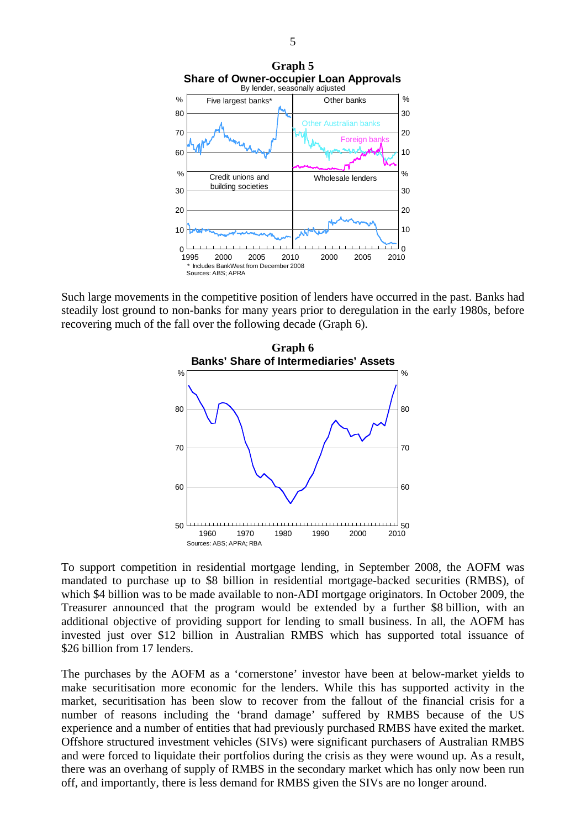

Such large movements in the competitive position of lenders have occurred in the past. Banks had steadily lost ground to non-banks for many years prior to deregulation in the early 1980s, before recovering much of the fall over the following decade (Graph 6).



To support competition in residential mortgage lending, in September 2008, the AOFM was mandated to purchase up to \$8 billion in residential mortgage-backed securities (RMBS), of which \$4 billion was to be made available to non-ADI mortgage originators. In October 2009, the Treasurer announced that the program would be extended by a further \$8 billion, with an additional objective of providing support for lending to small business. In all, the AOFM has invested just over \$12 billion in Australian RMBS which has supported total issuance of \$26 billion from 17 lenders.

The purchases by the AOFM as a 'cornerstone' investor have been at below-market yields to make securitisation more economic for the lenders. While this has supported activity in the market, securitisation has been slow to recover from the fallout of the financial crisis for a number of reasons including the 'brand damage' suffered by RMBS because of the US experience and a number of entities that had previously purchased RMBS have exited the market. Offshore structured investment vehicles (SIVs) were significant purchasers of Australian RMBS and were forced to liquidate their portfolios during the crisis as they were wound up. As a result, there was an overhang of supply of RMBS in the secondary market which has only now been run off, and importantly, there is less demand for RMBS given the SIVs are no longer around.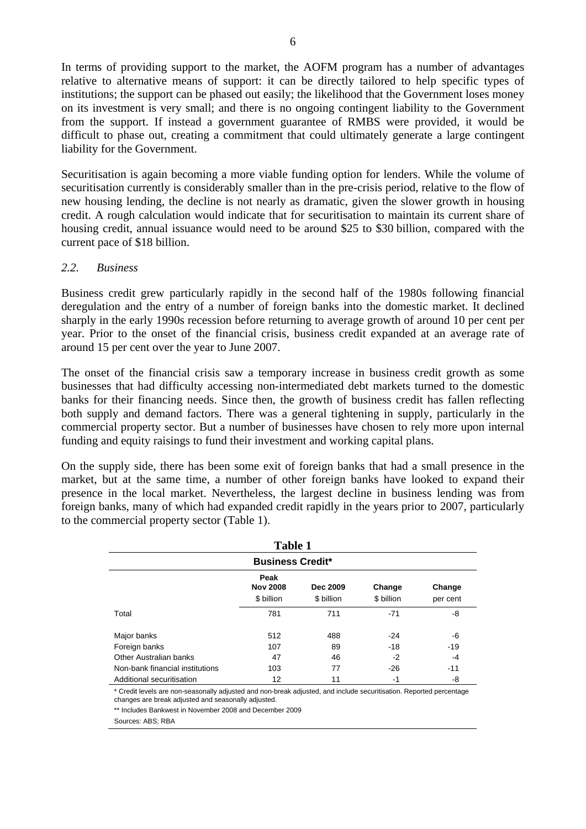In terms of providing support to the market, the AOFM program has a number of advantages relative to alternative means of support: it can be directly tailored to help specific types of institutions; the support can be phased out easily; the likelihood that the Government loses money on its investment is very small; and there is no ongoing contingent liability to the Government from the support. If instead a government guarantee of RMBS were provided, it would be difficult to phase out, creating a commitment that could ultimately generate a large contingent liability for the Government.

Securitisation is again becoming a more viable funding option for lenders. While the volume of securitisation currently is considerably smaller than in the pre-crisis period, relative to the flow of new housing lending, the decline is not nearly as dramatic, given the slower growth in housing credit. A rough calculation would indicate that for securitisation to maintain its current share of housing credit, annual issuance would need to be around \$25 to \$30 billion, compared with the current pace of \$18 billion.

# *2.2. Business*

Business credit grew particularly rapidly in the second half of the 1980s following financial deregulation and the entry of a number of foreign banks into the domestic market. It declined sharply in the early 1990s recession before returning to average growth of around 10 per cent per year. Prior to the onset of the financial crisis, business credit expanded at an average rate of around 15 per cent over the year to June 2007.

The onset of the financial crisis saw a temporary increase in business credit growth as some businesses that had difficulty accessing non-intermediated debt markets turned to the domestic banks for their financing needs. Since then, the growth of business credit has fallen reflecting both supply and demand factors. There was a general tightening in supply, particularly in the commercial property sector. But a number of businesses have chosen to rely more upon internal funding and equity raisings to fund their investment and working capital plans.

On the supply side, there has been some exit of foreign banks that had a small presence in the market, but at the same time, a number of other foreign banks have looked to expand their presence in the local market. Nevertheless, the largest decline in business lending was from foreign banks, many of which had expanded credit rapidly in the years prior to 2007, particularly to the commercial property sector (Table 1).

| <b>Table 1</b>                  |                                       |                        |                      |                    |  |  |  |
|---------------------------------|---------------------------------------|------------------------|----------------------|--------------------|--|--|--|
| <b>Business Credit*</b>         |                                       |                        |                      |                    |  |  |  |
|                                 | Peak<br><b>Nov 2008</b><br>\$ billion | Dec 2009<br>\$ billion | Change<br>\$ billion | Change<br>per cent |  |  |  |
| Total                           | 781                                   | 711                    | $-71$                | -8                 |  |  |  |
| Major banks                     | 512                                   | 488                    | $-24$                | -6                 |  |  |  |
| Foreign banks                   | 107                                   | 89                     | $-18$                | $-19$              |  |  |  |
| Other Australian banks          | 47                                    | 46                     | $-2$                 | $-4$               |  |  |  |
| Non-bank financial institutions | 103                                   | 77                     | $-26$                | $-11$              |  |  |  |
| Additional securitisation       | 12                                    | 11                     | $-1$                 | -8                 |  |  |  |

\* Credit levels are non-seasonally adjusted and non-break adjusted, and include securitisation. Reported percentage changes are break adjusted and seasonally adjusted.

\*\* Includes Bankwest in November 2008 and December 2009

Sources: ABS; RBA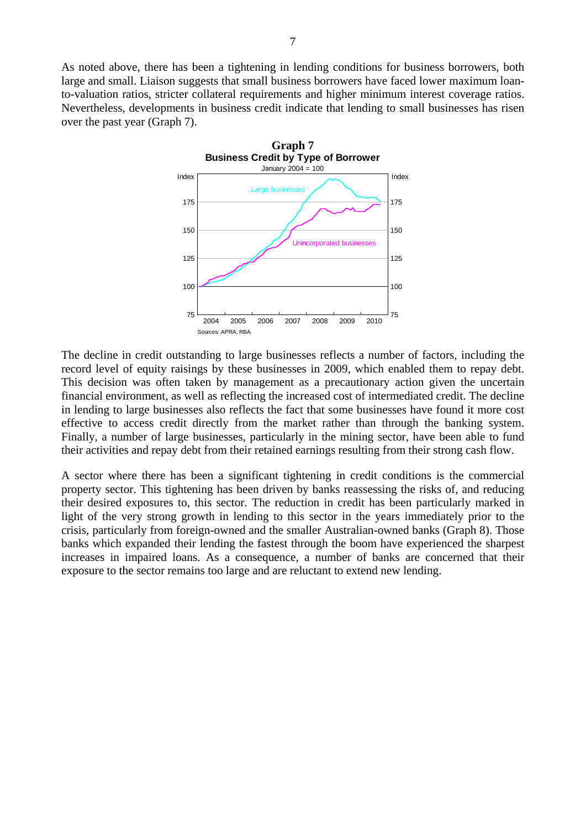As noted above, there has been a tightening in lending conditions for business borrowers, both large and small. Liaison suggests that small business borrowers have faced lower maximum loanto-valuation ratios, stricter collateral requirements and higher minimum interest coverage ratios. Nevertheless, developments in business credit indicate that lending to small businesses has risen over the past year (Graph 7).



The decline in credit outstanding to large businesses reflects a number of factors, including the record level of equity raisings by these businesses in 2009, which enabled them to repay debt. This decision was often taken by management as a precautionary action given the uncertain financial environment, as well as reflecting the increased cost of intermediated credit. The decline in lending to large businesses also reflects the fact that some businesses have found it more cost effective to access credit directly from the market rather than through the banking system. Finally, a number of large businesses, particularly in the mining sector, have been able to fund their activities and repay debt from their retained earnings resulting from their strong cash flow.

A sector where there has been a significant tightening in credit conditions is the commercial property sector. This tightening has been driven by banks reassessing the risks of, and reducing their desired exposures to, this sector. The reduction in credit has been particularly marked in light of the very strong growth in lending to this sector in the years immediately prior to the crisis, particularly from foreign-owned and the smaller Australian-owned banks (Graph 8). Those banks which expanded their lending the fastest through the boom have experienced the sharpest increases in impaired loans. As a consequence, a number of banks are concerned that their exposure to the sector remains too large and are reluctant to extend new lending.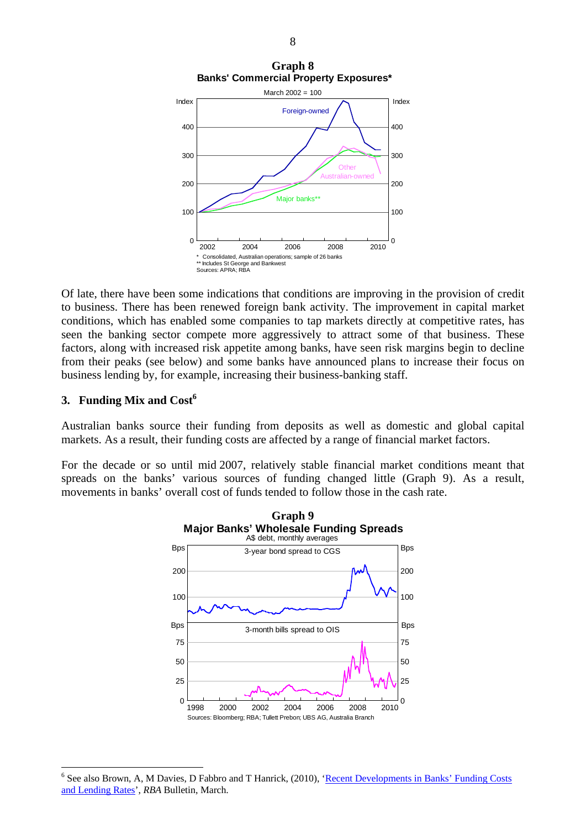

Of late, there have been some indications that conditions are improving in the provision of credit to business. There has been renewed foreign bank activity. The improvement in capital market conditions, which has enabled some companies to tap markets directly at competitive rates, has seen the banking sector compete more aggressively to attract some of that business. These factors, along with increased risk appetite among banks, have seen risk margins begin to decline from their peaks (see below) and some banks have announced plans to increase their focus on business lending by, for example, increasing their business-banking staff.

# **3. Funding Mix and Cost<sup>6</sup>**

 $\overline{a}$ 

Australian banks source their funding from deposits as well as domestic and global capital markets. As a result, their funding costs are affected by a range of financial market factors.

For the decade or so until mid 2007, relatively stable financial market conditions meant that spreads on the banks' various sources of funding changed little (Graph 9). As a result, movements in banks' overall cost of funds tended to follow those in the cash rate.



<sup>&</sup>lt;sup>6</sup> See also Brown, A, M Davies, D Fabbro and T Hanrick, (2010), 'Recent Developments in Banks' Funding Costs [and Lending Rates](http://www.rba.gov.au/publications/bulletin/2010/mar/pdf/bu-0310-6.pdf)', *RBA* Bulletin, March.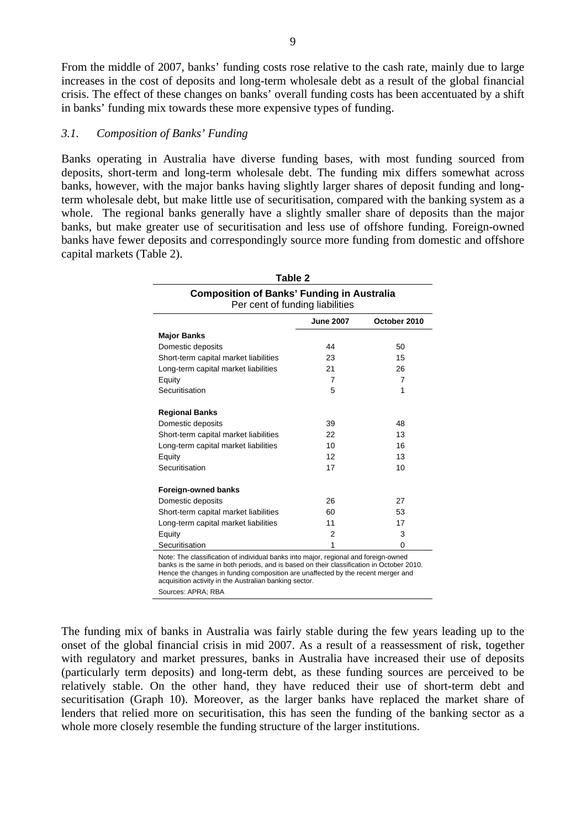From the middle of 2007, banks' funding costs rose relative to the cash rate, mainly due to large increases in the cost of deposits and long-term wholesale debt as a result of the global financial crisis. The effect of these changes on banks' overall funding costs has been accentuated by a shift in banks' funding mix towards these more expensive types of funding.

### *3.1. Composition of Banks' Funding*

Banks operating in Australia have diverse funding bases, with most funding sourced from deposits, short-term and long-term wholesale debt. The funding mix differs somewhat across banks, however, with the major banks having slightly larger shares of deposit funding and longterm wholesale debt, but make little use of securitisation, compared with the banking system as a whole. The regional banks generally have a slightly smaller share of deposits than the major banks, but make greater use of securitisation and less use of offshore funding. Foreign-owned banks have fewer deposits and correspondingly source more funding from domestic and offshore capital markets (Table 2).

| Table 2<br><b>Composition of Banks' Funding in Australia</b><br>Per cent of funding liabilities |                  |                |  |  |  |
|-------------------------------------------------------------------------------------------------|------------------|----------------|--|--|--|
|                                                                                                 | <b>June 2007</b> | October 2010   |  |  |  |
| <b>Major Banks</b>                                                                              |                  |                |  |  |  |
| Domestic deposits                                                                               | 44               | 50             |  |  |  |
| Short-term capital market liabilities                                                           | 23               | 15             |  |  |  |
| Long-term capital market liabilities                                                            | 21               | 26             |  |  |  |
| Equity                                                                                          | $\overline{7}$   | $\overline{7}$ |  |  |  |
| Securitisation                                                                                  | 5                | 1              |  |  |  |
| <b>Regional Banks</b>                                                                           |                  |                |  |  |  |
| Domestic deposits                                                                               | 39               | 48             |  |  |  |
| Short-term capital market liabilities                                                           | 22               | 13             |  |  |  |
| Long-term capital market liabilities                                                            | 10               | 16             |  |  |  |
| Equity                                                                                          | 12               | 13             |  |  |  |
| Securitisation                                                                                  | 17               | 10             |  |  |  |
| <b>Foreign-owned banks</b>                                                                      |                  |                |  |  |  |
| Domestic deposits                                                                               | 26               | 27             |  |  |  |
| Short-term capital market liabilities                                                           | 60               | 53             |  |  |  |
| Long-term capital market liabilities                                                            | 11               | 17             |  |  |  |
| Equity                                                                                          | 2                | 3              |  |  |  |
| Securitisation                                                                                  | 1                | 0              |  |  |  |

Sources: APRA; RBA

The funding mix of banks in Australia was fairly stable during the few years leading up to the onset of the global financial crisis in mid 2007. As a result of a reassessment of risk, together with regulatory and market pressures, banks in Australia have increased their use of deposits (particularly term deposits) and long-term debt, as these funding sources are perceived to be relatively stable. On the other hand, they have reduced their use of short-term debt and securitisation (Graph 10). Moreover, as the larger banks have replaced the market share of lenders that relied more on securitisation, this has seen the funding of the banking sector as a whole more closely resemble the funding structure of the larger institutions.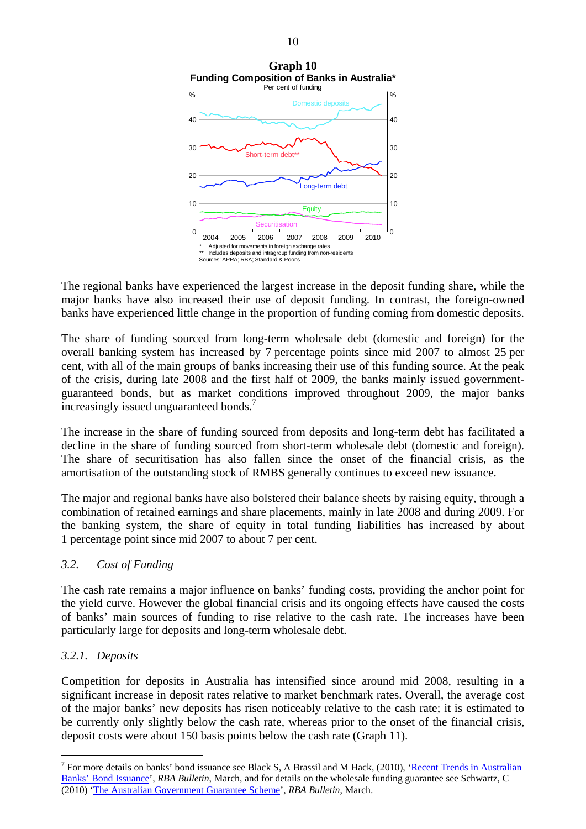

The regional banks have experienced the largest increase in the deposit funding share, while the major banks have also increased their use of deposit funding. In contrast, the foreign-owned banks have experienced little change in the proportion of funding coming from domestic deposits.

The share of funding sourced from long-term wholesale debt (domestic and foreign) for the overall banking system has increased by 7 percentage points since mid 2007 to almost 25 per cent, with all of the main groups of banks increasing their use of this funding source. At the peak of the crisis, during late 2008 and the first half of 2009, the banks mainly issued governmentguaranteed bonds, but as market conditions improved throughout 2009, the major banks increasingly issued unguaranteed bonds.<sup>7</sup>

The increase in the share of funding sourced from deposits and long-term debt has facilitated a decline in the share of funding sourced from short-term wholesale debt (domestic and foreign). The share of securitisation has also fallen since the onset of the financial crisis, as the amortisation of the outstanding stock of RMBS generally continues to exceed new issuance.

The major and regional banks have also bolstered their balance sheets by raising equity, through a combination of retained earnings and share placements, mainly in late 2008 and during 2009. For the banking system, the share of equity in total funding liabilities has increased by about 1 percentage point since mid 2007 to about 7 per cent.

# *3.2. Cost of Funding*

The cash rate remains a major influence on banks' funding costs, providing the anchor point for the yield curve. However the global financial crisis and its ongoing effects have caused the costs of banks' main sources of funding to rise relative to the cash rate. The increases have been particularly large for deposits and long-term wholesale debt.

# *3.2.1. Deposits*

 $\overline{a}$ 

Competition for deposits in Australia has intensified since around mid 2008, resulting in a significant increase in deposit rates relative to market benchmark rates. Overall, the average cost of the major banks' new deposits has risen noticeably relative to the cash rate; it is estimated to be currently only slightly below the cash rate, whereas prior to the onset of the financial crisis, deposit costs were about 150 basis points below the cash rate (Graph 11).

<sup>&</sup>lt;sup>7</sup> For more details on banks' bond issuance see Black S, A Brassil and M Hack, (2010), 'Recent Trends in Australian [Banks' Bond Issuance'](http://www.rba.gov.au/publications/bulletin/2010/mar/pdf/bu-0310-5.pdf), *RBA Bulletin*, March, and for details on the wholesale funding guarantee see Schwartz, C (2010) ['The Australian Government Guarantee Scheme'](http://www.rba.gov.au/publications/bulletin/2010/mar/pdf/bu-0310-4.pdf), *RBA Bulletin*, March.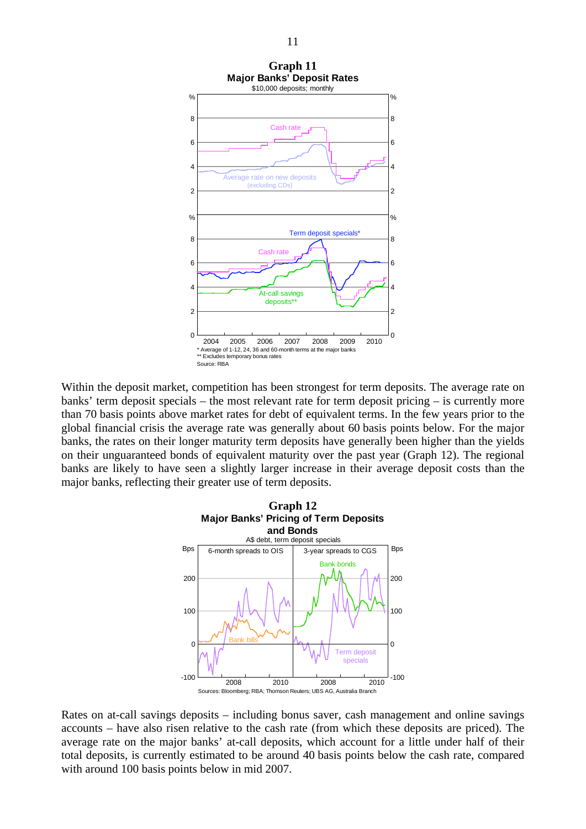

Within the deposit market, competition has been strongest for term deposits. The average rate on banks' term deposit specials – the most relevant rate for term deposit pricing – is currently more than 70 basis points above market rates for debt of equivalent terms. In the few years prior to the global financial crisis the average rate was generally about 60 basis points below. For the major banks, the rates on their longer maturity term deposits have generally been higher than the yields on their unguaranteed bonds of equivalent maturity over the past year (Graph 12). The regional banks are likely to have seen a slightly larger increase in their average deposit costs than the major banks, reflecting their greater use of term deposits.



Rates on at-call savings deposits – including bonus saver, cash management and online savings accounts – have also risen relative to the cash rate (from which these deposits are priced). The average rate on the major banks' at-call deposits, which account for a little under half of their total deposits, is currently estimated to be around 40 basis points below the cash rate, compared with around 100 basis points below in mid 2007.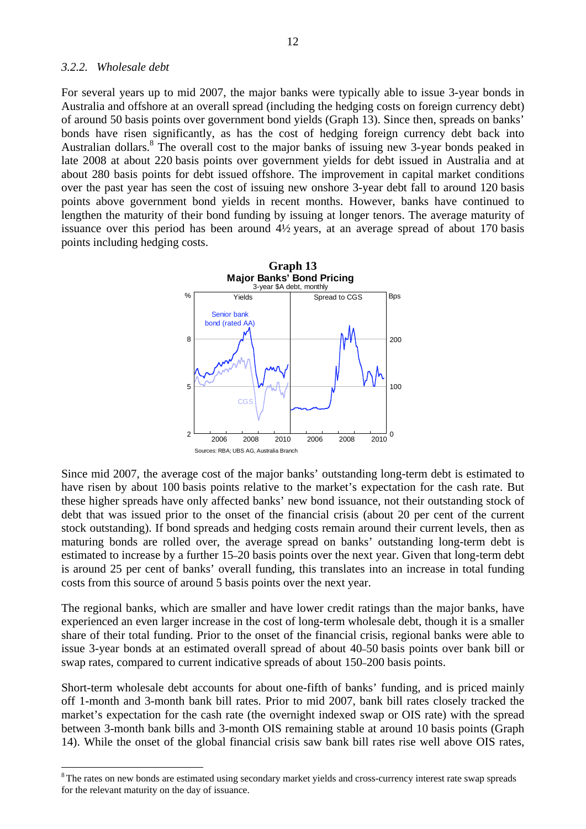### *3.2.2. Wholesale debt*

 $\overline{a}$ 

For several years up to mid 2007, the major banks were typically able to issue 3-year bonds in Australia and offshore at an overall spread (including the hedging costs on foreign currency debt) of around 50 basis points over government bond yields (Graph 13). Since then, spreads on banks' bonds have risen significantly, as has the cost of hedging foreign currency debt back into Australian dollars.<sup>8</sup> The overall cost to the major banks of issuing new 3-year bonds peaked in late 2008 at about 220 basis points over government yields for debt issued in Australia and at about 280 basis points for debt issued offshore. The improvement in capital market conditions over the past year has seen the cost of issuing new onshore 3-year debt fall to around 120 basis points above government bond yields in recent months. However, banks have continued to lengthen the maturity of their bond funding by issuing at longer tenors. The average maturity of issuance over this period has been around 4½ years, at an average spread of about 170 basis points including hedging costs.



Since mid 2007, the average cost of the major banks' outstanding long-term debt is estimated to have risen by about 100 basis points relative to the market's expectation for the cash rate. But these higher spreads have only affected banks' new bond issuance, not their outstanding stock of debt that was issued prior to the onset of the financial crisis (about 20 per cent of the current stock outstanding). If bond spreads and hedging costs remain around their current levels, then as maturing bonds are rolled over, the average spread on banks' outstanding long-term debt is estimated to increase by a further 15–20 basis points over the next year. Given that long-term debt is around 25 per cent of banks' overall funding, this translates into an increase in total funding costs from this source of around 5 basis points over the next year.

The regional banks, which are smaller and have lower credit ratings than the major banks, have experienced an even larger increase in the cost of long-term wholesale debt, though it is a smaller share of their total funding. Prior to the onset of the financial crisis, regional banks were able to issue 3-year bonds at an estimated overall spread of about 40–50 basis points over bank bill or swap rates, compared to current indicative spreads of about 150–200 basis points.

Short-term wholesale debt accounts for about one-fifth of banks' funding, and is priced mainly off 1-month and 3-month bank bill rates. Prior to mid 2007, bank bill rates closely tracked the market's expectation for the cash rate (the overnight indexed swap or OIS rate) with the spread between 3-month bank bills and 3-month OIS remaining stable at around 10 basis points (Graph 14). While the onset of the global financial crisis saw bank bill rates rise well above OIS rates,

<sup>&</sup>lt;sup>8</sup> The rates on new bonds are estimated using secondary market yields and cross-currency interest rate swap spreads for the relevant maturity on the day of issuance.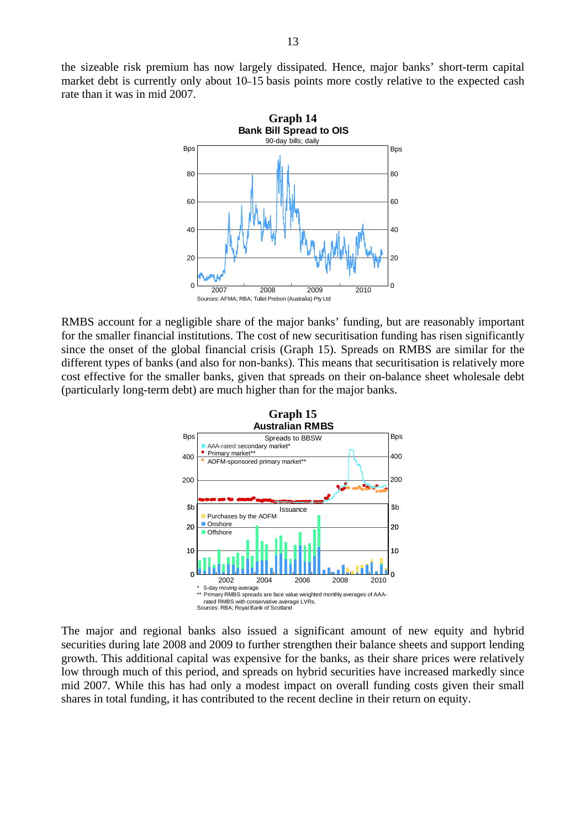the sizeable risk premium has now largely dissipated. Hence, major banks' short-term capital market debt is currently only about 10–15 basis points more costly relative to the expected cash rate than it was in mid 2007.



RMBS account for a negligible share of the major banks' funding, but are reasonably important for the smaller financial institutions. The cost of new securitisation funding has risen significantly since the onset of the global financial crisis (Graph 15). Spreads on RMBS are similar for the different types of banks (and also for non-banks). This means that securitisation is relatively more cost effective for the smaller banks, given that spreads on their on-balance sheet wholesale debt (particularly long-term debt) are much higher than for the major banks.



The major and regional banks also issued a significant amount of new equity and hybrid securities during late 2008 and 2009 to further strengthen their balance sheets and support lending growth. This additional capital was expensive for the banks, as their share prices were relatively low through much of this period, and spreads on hybrid securities have increased markedly since mid 2007. While this has had only a modest impact on overall funding costs given their small shares in total funding, it has contributed to the recent decline in their return on equity.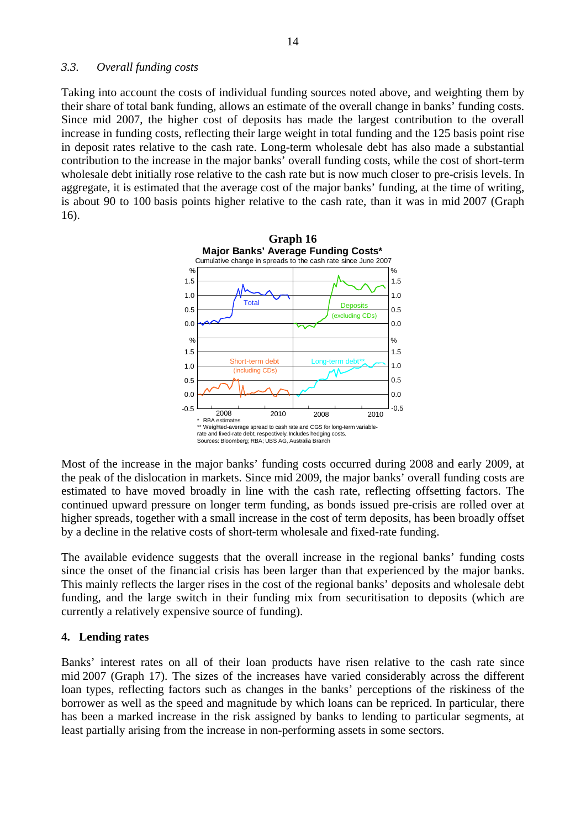### *3.3. Overall funding costs*

Taking into account the costs of individual funding sources noted above, and weighting them by their share of total bank funding, allows an estimate of the overall change in banks' funding costs. Since mid 2007, the higher cost of deposits has made the largest contribution to the overall increase in funding costs, reflecting their large weight in total funding and the 125 basis point rise in deposit rates relative to the cash rate. Long-term wholesale debt has also made a substantial contribution to the increase in the major banks' overall funding costs, while the cost of short-term wholesale debt initially rose relative to the cash rate but is now much closer to pre-crisis levels. In aggregate, it is estimated that the average cost of the major banks' funding, at the time of writing, is about 90 to 100 basis points higher relative to the cash rate, than it was in mid 2007 (Graph 16).



Most of the increase in the major banks' funding costs occurred during 2008 and early 2009, at the peak of the dislocation in markets. Since mid 2009, the major banks' overall funding costs are estimated to have moved broadly in line with the cash rate, reflecting offsetting factors. The continued upward pressure on longer term funding, as bonds issued pre-crisis are rolled over at higher spreads, together with a small increase in the cost of term deposits, has been broadly offset by a decline in the relative costs of short-term wholesale and fixed-rate funding.

The available evidence suggests that the overall increase in the regional banks' funding costs since the onset of the financial crisis has been larger than that experienced by the major banks. This mainly reflects the larger rises in the cost of the regional banks' deposits and wholesale debt funding, and the large switch in their funding mix from securitisation to deposits (which are currently a relatively expensive source of funding).

# **4. Lending rates**

Banks' interest rates on all of their loan products have risen relative to the cash rate since mid 2007 (Graph 17). The sizes of the increases have varied considerably across the different loan types, reflecting factors such as changes in the banks' perceptions of the riskiness of the borrower as well as the speed and magnitude by which loans can be repriced. In particular, there has been a marked increase in the risk assigned by banks to lending to particular segments, at least partially arising from the increase in non-performing assets in some sectors.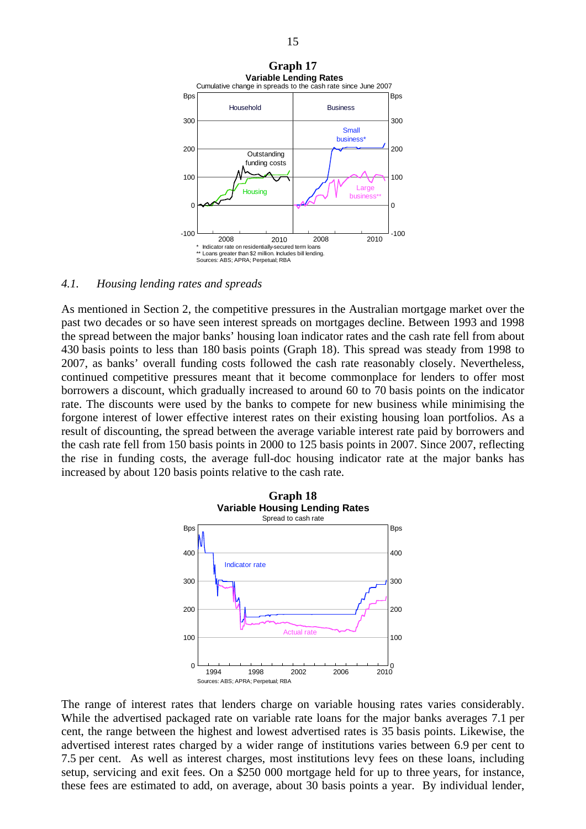

### *4.1. Housing lending rates and spreads*

As mentioned in Section 2, the competitive pressures in the Australian mortgage market over the past two decades or so have seen interest spreads on mortgages decline. Between 1993 and 1998 the spread between the major banks' housing loan indicator rates and the cash rate fell from about 430 basis points to less than 180 basis points (Graph 18). This spread was steady from 1998 to 2007, as banks' overall funding costs followed the cash rate reasonably closely. Nevertheless, continued competitive pressures meant that it become commonplace for lenders to offer most borrowers a discount, which gradually increased to around 60 to 70 basis points on the indicator rate. The discounts were used by the banks to compete for new business while minimising the forgone interest of lower effective interest rates on their existing housing loan portfolios. As a result of discounting, the spread between the average variable interest rate paid by borrowers and the cash rate fell from 150 basis points in 2000 to 125 basis points in 2007. Since 2007, reflecting the rise in funding costs, the average full-doc housing indicator rate at the major banks has increased by about 120 basis points relative to the cash rate.



The range of interest rates that lenders charge on variable housing rates varies considerably. While the advertised packaged rate on variable rate loans for the major banks averages 7.1 per cent, the range between the highest and lowest advertised rates is 35 basis points. Likewise, the advertised interest rates charged by a wider range of institutions varies between 6.9 per cent to 7.5 per cent. As well as interest charges, most institutions levy fees on these loans, including setup, servicing and exit fees. On a \$250 000 mortgage held for up to three years, for instance, these fees are estimated to add, on average, about 30 basis points a year. By individual lender,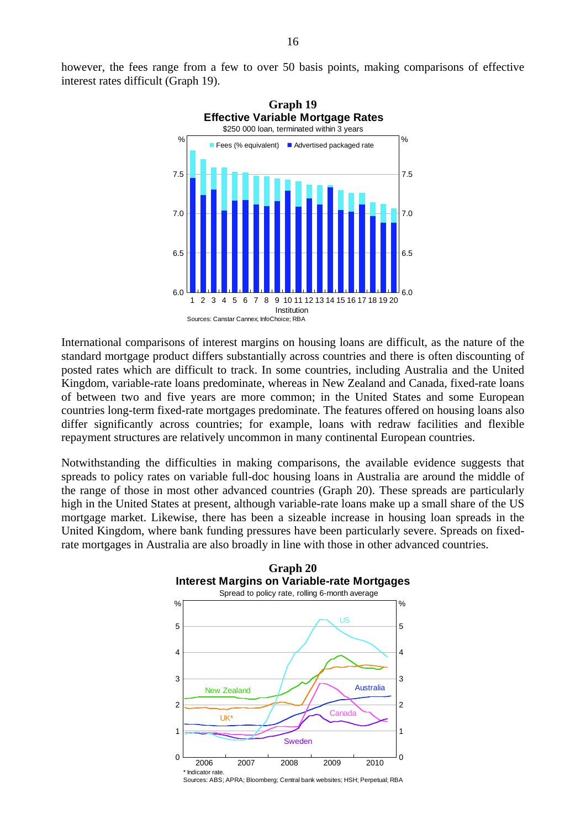however, the fees range from a few to over 50 basis points, making comparisons of effective interest rates difficult (Graph 19).



International comparisons of interest margins on housing loans are difficult, as the nature of the standard mortgage product differs substantially across countries and there is often discounting of posted rates which are difficult to track. In some countries, including Australia and the United Kingdom, variable-rate loans predominate, whereas in New Zealand and Canada, fixed-rate loans of between two and five years are more common; in the United States and some European countries long-term fixed-rate mortgages predominate. The features offered on housing loans also differ significantly across countries; for example, loans with redraw facilities and flexible repayment structures are relatively uncommon in many continental European countries.

Notwithstanding the difficulties in making comparisons, the available evidence suggests that spreads to policy rates on variable full-doc housing loans in Australia are around the middle of the range of those in most other advanced countries (Graph 20). These spreads are particularly high in the United States at present, although variable-rate loans make up a small share of the US mortgage market. Likewise, there has been a sizeable increase in housing loan spreads in the United Kingdom, where bank funding pressures have been particularly severe. Spreads on fixedrate mortgages in Australia are also broadly in line with those in other advanced countries.



Sources: ABS; APRA; Bloomberg; Central bank websites; HSH; Perpetual; RBA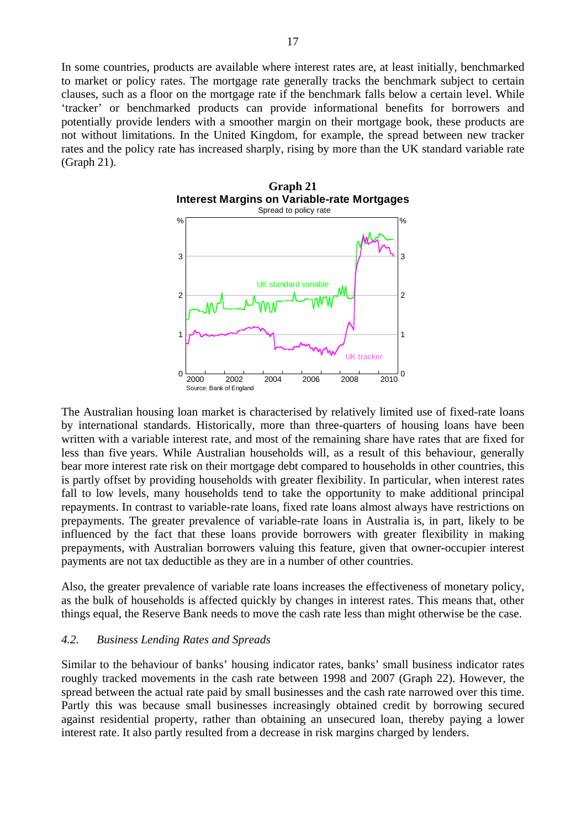In some countries, products are available where interest rates are, at least initially, benchmarked to market or policy rates. The mortgage rate generally tracks the benchmark subject to certain clauses, such as a floor on the mortgage rate if the benchmark falls below a certain level. While 'tracker' or benchmarked products can provide informational benefits for borrowers and potentially provide lenders with a smoother margin on their mortgage book, these products are not without limitations. In the United Kingdom, for example, the spread between new tracker rates and the policy rate has increased sharply, rising by more than the UK standard variable rate (Graph 21).



The Australian housing loan market is characterised by relatively limited use of fixed-rate loans by international standards. Historically, more than three-quarters of housing loans have been written with a variable interest rate, and most of the remaining share have rates that are fixed for less than five years. While Australian households will, as a result of this behaviour, generally bear more interest rate risk on their mortgage debt compared to households in other countries, this is partly offset by providing households with greater flexibility. In particular, when interest rates fall to low levels, many households tend to take the opportunity to make additional principal repayments. In contrast to variable-rate loans, fixed rate loans almost always have restrictions on prepayments. The greater prevalence of variable-rate loans in Australia is, in part, likely to be influenced by the fact that these loans provide borrowers with greater flexibility in making prepayments, with Australian borrowers valuing this feature, given that owner-occupier interest payments are not tax deductible as they are in a number of other countries.

Also, the greater prevalence of variable rate loans increases the effectiveness of monetary policy, as the bulk of households is affected quickly by changes in interest rates. This means that, other things equal, the Reserve Bank needs to move the cash rate less than might otherwise be the case.

### *4.2. Business Lending Rates and Spreads*

Similar to the behaviour of banks' housing indicator rates, banks' small business indicator rates roughly tracked movements in the cash rate between 1998 and 2007 (Graph 22). However, the spread between the actual rate paid by small businesses and the cash rate narrowed over this time. Partly this was because small businesses increasingly obtained credit by borrowing secured against residential property, rather than obtaining an unsecured loan, thereby paying a lower interest rate. It also partly resulted from a decrease in risk margins charged by lenders.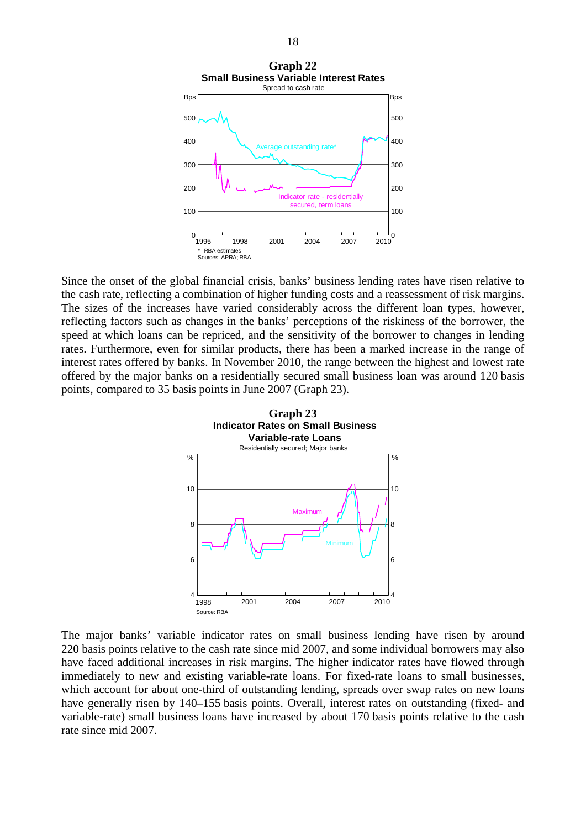

Since the onset of the global financial crisis, banks' business lending rates have risen relative to the cash rate, reflecting a combination of higher funding costs and a reassessment of risk margins. The sizes of the increases have varied considerably across the different loan types, however, reflecting factors such as changes in the banks' perceptions of the riskiness of the borrower, the speed at which loans can be repriced, and the sensitivity of the borrower to changes in lending rates. Furthermore, even for similar products, there has been a marked increase in the range of interest rates offered by banks. In November 2010, the range between the highest and lowest rate offered by the major banks on a residentially secured small business loan was around 120 basis points, compared to 35 basis points in June 2007 (Graph 23).



The major banks' variable indicator rates on small business lending have risen by around 220 basis points relative to the cash rate since mid 2007, and some individual borrowers may also have faced additional increases in risk margins. The higher indicator rates have flowed through immediately to new and existing variable-rate loans. For fixed-rate loans to small businesses, which account for about one-third of outstanding lending, spreads over swap rates on new loans have generally risen by 140–155 basis points. Overall, interest rates on outstanding (fixed- and variable-rate) small business loans have increased by about 170 basis points relative to the cash rate since mid 2007.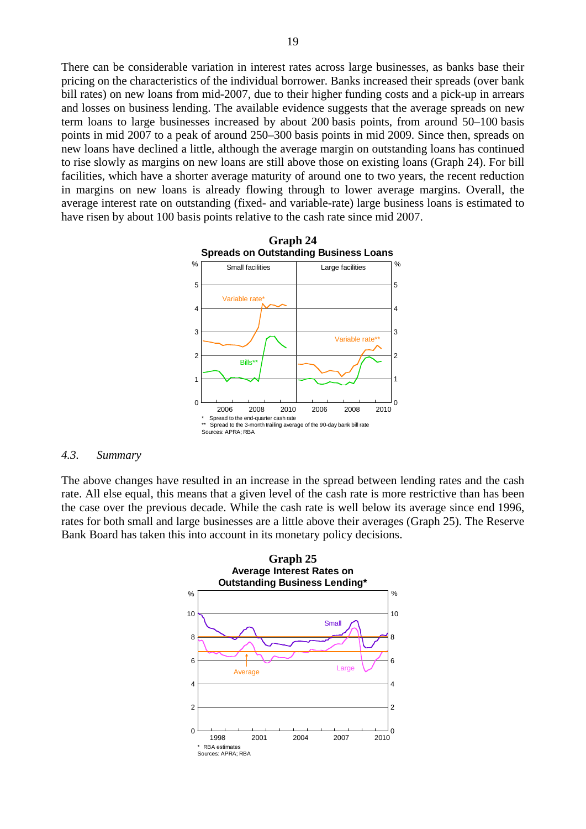There can be considerable variation in interest rates across large businesses, as banks base their pricing on the characteristics of the individual borrower. Banks increased their spreads (over bank bill rates) on new loans from mid-2007, due to their higher funding costs and a pick-up in arrears and losses on business lending. The available evidence suggests that the average spreads on new term loans to large businesses increased by about 200 basis points, from around 50–100 basis points in mid 2007 to a peak of around 250–300 basis points in mid 2009. Since then, spreads on new loans have declined a little, although the average margin on outstanding loans has continued to rise slowly as margins on new loans are still above those on existing loans (Graph 24). For bill facilities, which have a shorter average maturity of around one to two years, the recent reduction in margins on new loans is already flowing through to lower average margins. Overall, the average interest rate on outstanding (fixed- and variable-rate) large business loans is estimated to have risen by about 100 basis points relative to the cash rate since mid 2007.



#### *4.3. Summary*

The above changes have resulted in an increase in the spread between lending rates and the cash rate. All else equal, this means that a given level of the cash rate is more restrictive than has been the case over the previous decade. While the cash rate is well below its average since end 1996, rates for both small and large businesses are a little above their averages (Graph 25). The Reserve Bank Board has taken this into account in its monetary policy decisions.

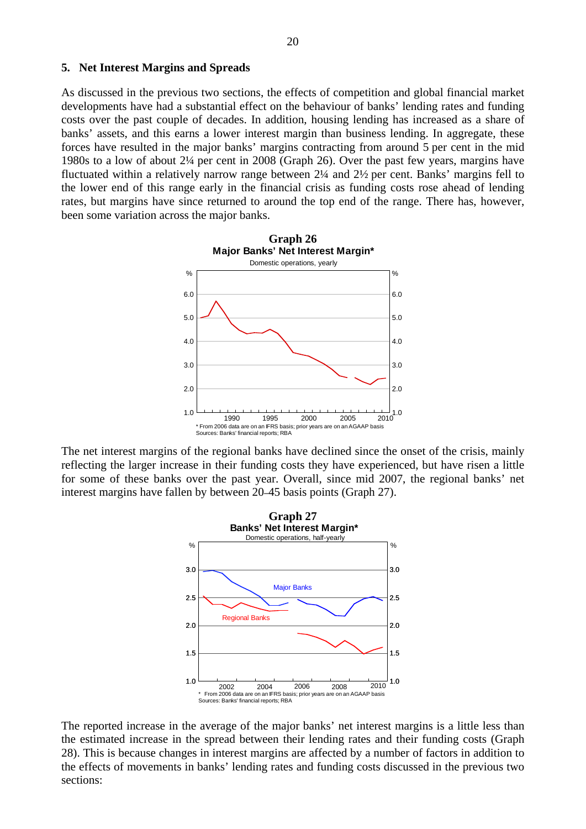### **5. Net Interest Margins and Spreads**

As discussed in the previous two sections, the effects of competition and global financial market developments have had a substantial effect on the behaviour of banks' lending rates and funding costs over the past couple of decades. In addition, housing lending has increased as a share of banks' assets, and this earns a lower interest margin than business lending. In aggregate, these forces have resulted in the major banks' margins contracting from around 5 per cent in the mid 1980s to a low of about 2¼ per cent in 2008 (Graph 26). Over the past few years, margins have fluctuated within a relatively narrow range between 2¼ and 2½ per cent. Banks' margins fell to the lower end of this range early in the financial crisis as funding costs rose ahead of lending rates, but margins have since returned to around the top end of the range. There has, however, been some variation across the major banks.



The net interest margins of the regional banks have declined since the onset of the crisis, mainly reflecting the larger increase in their funding costs they have experienced, but have risen a little for some of these banks over the past year. Overall, since mid 2007, the regional banks' net interest margins have fallen by between 20–45 basis points (Graph 27).



The reported increase in the average of the major banks' net interest margins is a little less than the estimated increase in the spread between their lending rates and their funding costs (Graph 28). This is because changes in interest margins are affected by a number of factors in addition to the effects of movements in banks' lending rates and funding costs discussed in the previous two sections: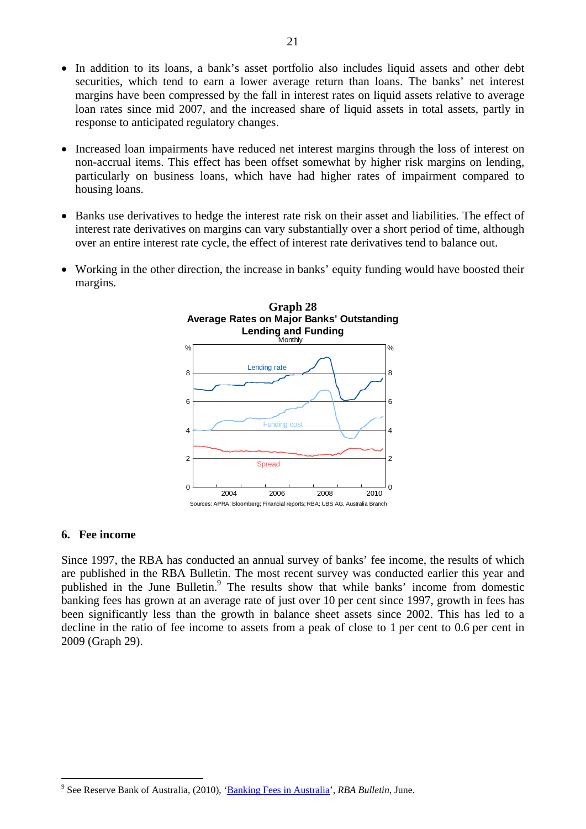- In addition to its loans, a bank's asset portfolio also includes liquid assets and other debt securities, which tend to earn a lower average return than loans. The banks' net interest margins have been compressed by the fall in interest rates on liquid assets relative to average loan rates since mid 2007, and the increased share of liquid assets in total assets, partly in response to anticipated regulatory changes.
- Increased loan impairments have reduced net interest margins through the loss of interest on non-accrual items. This effect has been offset somewhat by higher risk margins on lending, particularly on business loans, which have had higher rates of impairment compared to housing loans.
- Banks use derivatives to hedge the interest rate risk on their asset and liabilities. The effect of interest rate derivatives on margins can vary substantially over a short period of time, although over an entire interest rate cycle, the effect of interest rate derivatives tend to balance out.
- Working in the other direction, the increase in banks' equity funding would have boosted their margins.



# **6. Fee income**

Since 1997, the RBA has conducted an annual survey of banks' fee income, the results of which are published in the RBA Bulletin. The most recent survey was conducted earlier this year and published in the June Bulletin.<sup>9</sup> The results show that while banks' income from domestic banking fees has grown at an average rate of just over 10 per cent since 1997, growth in fees has been significantly less than the growth in balance sheet assets since 2002. This has led to a decline in the ratio of fee income to assets from a peak of close to 1 per cent to 0.6 per cent in 2009 (Graph 29).

 $\overline{a}$ <sup>9</sup> See Reserve Bank of Australia, (2010), '**Banking Fees in Australia'**, *RBA Bulletin*, June.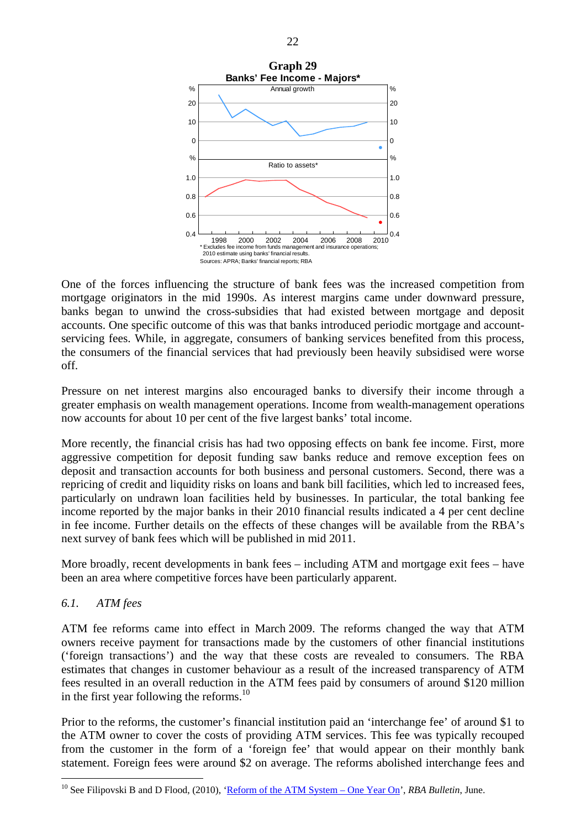

One of the forces influencing the structure of bank fees was the increased competition from mortgage originators in the mid 1990s. As interest margins came under downward pressure, banks began to unwind the cross-subsidies that had existed between mortgage and deposit accounts. One specific outcome of this was that banks introduced periodic mortgage and accountservicing fees. While, in aggregate, consumers of banking services benefited from this process, the consumers of the financial services that had previously been heavily subsidised were worse off.

Pressure on net interest margins also encouraged banks to diversify their income through a greater emphasis on wealth management operations. Income from wealth-management operations now accounts for about 10 per cent of the five largest banks' total income.

More recently, the financial crisis has had two opposing effects on bank fee income. First, more aggressive competition for deposit funding saw banks reduce and remove exception fees on deposit and transaction accounts for both business and personal customers. Second, there was a repricing of credit and liquidity risks on loans and bank bill facilities, which led to increased fees, particularly on undrawn loan facilities held by businesses. In particular, the total banking fee income reported by the major banks in their 2010 financial results indicated a 4 per cent decline in fee income. Further details on the effects of these changes will be available from the RBA's next survey of bank fees which will be published in mid 2011.

More broadly, recent developments in bank fees – including ATM and mortgage exit fees – have been an area where competitive forces have been particularly apparent.

# *6.1. ATM fees*

 $\overline{a}$ 

ATM fee reforms came into effect in March 2009. The reforms changed the way that ATM owners receive payment for transactions made by the customers of other financial institutions ('foreign transactions') and the way that these costs are revealed to consumers. The RBA estimates that changes in customer behaviour as a result of the increased transparency of ATM fees resulted in an overall reduction in the ATM fees paid by consumers of around \$120 million in the first year following the reforms.<sup>10</sup>

Prior to the reforms, the customer's financial institution paid an 'interchange fee' of around \$1 to the ATM owner to cover the costs of providing ATM services. This fee was typically recouped from the customer in the form of a 'foreign fee' that would appear on their monthly bank statement. Foreign fees were around \$2 on average. The reforms abolished interchange fees and

<sup>&</sup>lt;sup>10</sup> See Filipovski B and D Flood, (2010), ['Reform of the ATM System – One Year On'](http://www.rba.gov.au/publications/bulletin/2010/jun/pdf/bu-0610-6.pdf), *RBA Bulletin*, June.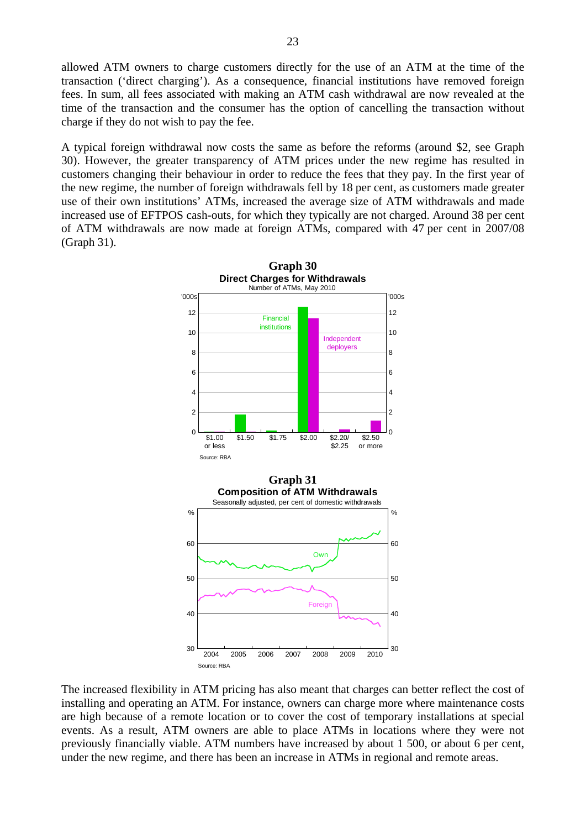allowed ATM owners to charge customers directly for the use of an ATM at the time of the transaction ('direct charging'). As a consequence, financial institutions have removed foreign fees. In sum, all fees associated with making an ATM cash withdrawal are now revealed at the time of the transaction and the consumer has the option of cancelling the transaction without charge if they do not wish to pay the fee.

A typical foreign withdrawal now costs the same as before the reforms (around \$2, see Graph 30). However, the greater transparency of ATM prices under the new regime has resulted in customers changing their behaviour in order to reduce the fees that they pay. In the first year of the new regime, the number of foreign withdrawals fell by 18 per cent, as customers made greater use of their own institutions' ATMs, increased the average size of ATM withdrawals and made increased use of EFTPOS cash-outs, for which they typically are not charged. Around 38 per cent of ATM withdrawals are now made at foreign ATMs, compared with 47 per cent in 2007/08 (Graph 31).



The increased flexibility in ATM pricing has also meant that charges can better reflect the cost of installing and operating an ATM. For instance, owners can charge more where maintenance costs are high because of a remote location or to cover the cost of temporary installations at special events. As a result, ATM owners are able to place ATMs in locations where they were not previously financially viable. ATM numbers have increased by about 1 500, or about 6 per cent, under the new regime, and there has been an increase in ATMs in regional and remote areas.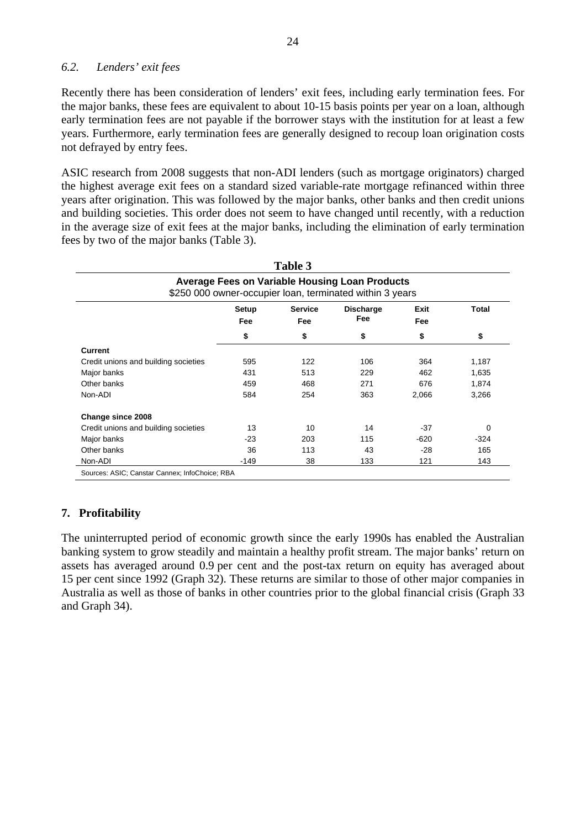# *6.2. Lenders' exit fees*

Recently there has been consideration of lenders' exit fees, including early termination fees. For the major banks, these fees are equivalent to about 10-15 basis points per year on a loan, although early termination fees are not payable if the borrower stays with the institution for at least a few years. Furthermore, early termination fees are generally designed to recoup loan origination costs not defrayed by entry fees.

ASIC research from 2008 suggests that non-ADI lenders (such as mortgage originators) charged the highest average exit fees on a standard sized variable-rate mortgage refinanced within three years after origination. This was followed by the major banks, other banks and then credit unions and building societies. This order does not seem to have changed until recently, with a reduction in the average size of exit fees at the major banks, including the elimination of early termination fees by two of the major banks (Table 3).

| Table 3<br><b>Average Fees on Variable Housing Loan Products</b><br>\$250 000 owner-occupier loan, terminated within 3 years |        |     |     |       |          |  |  |
|------------------------------------------------------------------------------------------------------------------------------|--------|-----|-----|-------|----------|--|--|
|                                                                                                                              |        |     |     |       |          |  |  |
|                                                                                                                              | \$     | \$  | \$  | \$    | \$       |  |  |
| <b>Current</b>                                                                                                               |        |     |     |       |          |  |  |
| Credit unions and building societies                                                                                         | 595    | 122 | 106 | 364   | 1,187    |  |  |
| Major banks                                                                                                                  | 431    | 513 | 229 | 462   | 1,635    |  |  |
| Other banks                                                                                                                  | 459    | 468 | 271 | 676   | 1,874    |  |  |
| Non-ADI                                                                                                                      | 584    | 254 | 363 | 2,066 | 3,266    |  |  |
| Change since 2008                                                                                                            |        |     |     |       |          |  |  |
| Credit unions and building societies                                                                                         | 13     | 10  | 14  | $-37$ | $\Omega$ |  |  |
| Major banks                                                                                                                  | $-23$  | 203 | 115 | -620  | $-324$   |  |  |
| Other banks                                                                                                                  | 36     | 113 | 43  | $-28$ | 165      |  |  |
| Non-ADI                                                                                                                      | $-149$ | 38  | 133 | 121   | 143      |  |  |
| Sources: ASIC; Canstar Cannex; InfoChoice; RBA                                                                               |        |     |     |       |          |  |  |

# **7. Profitability**

The uninterrupted period of economic growth since the early 1990s has enabled the Australian banking system to grow steadily and maintain a healthy profit stream. The major banks' return on assets has averaged around 0.9 per cent and the post-tax return on equity has averaged about 15 per cent since 1992 (Graph 32). These returns are similar to those of other major companies in Australia as well as those of banks in other countries prior to the global financial crisis (Graph 33 and Graph 34).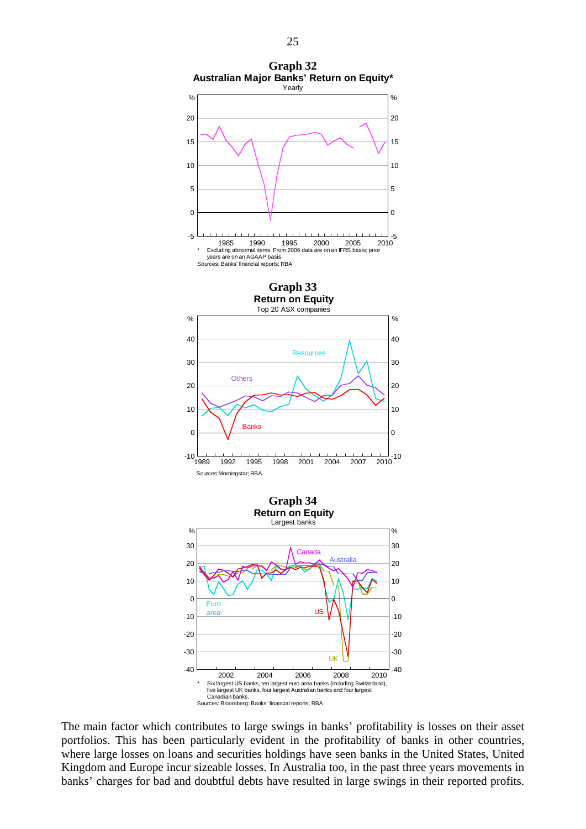

The main factor which contributes to large swings in banks' profitability is losses on their asset portfolios. This has been particularly evident in the profitability of banks in other countries, where large losses on loans and securities holdings have seen banks in the United States, United Kingdom and Europe incur sizeable losses. In Australia too, in the past three years movements in banks' charges for bad and doubtful debts have resulted in large swings in their reported profits.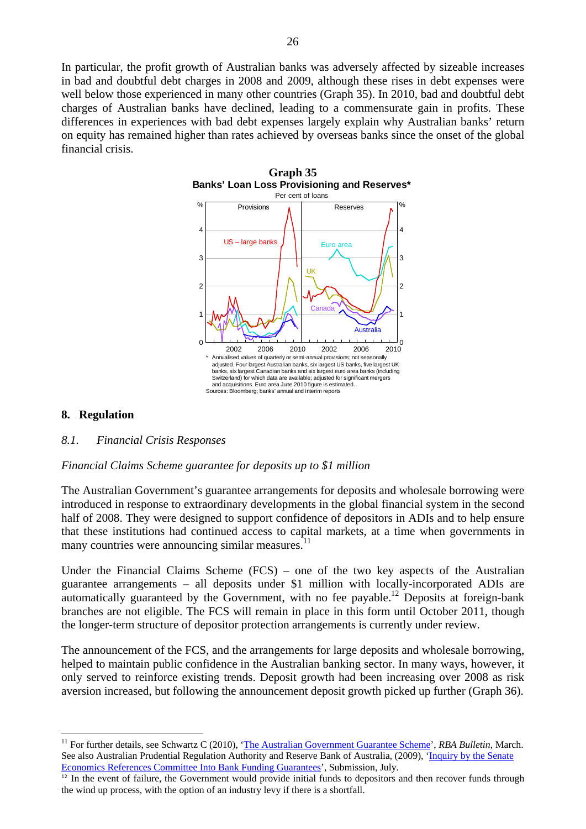In particular, the profit growth of Australian banks was adversely affected by sizeable increases in bad and doubtful debt charges in 2008 and 2009, although these rises in debt expenses were well below those experienced in many other countries (Graph 35). In 2010, bad and doubtful debt charges of Australian banks have declined, leading to a commensurate gain in profits. These differences in experiences with bad debt expenses largely explain why Australian banks' return on equity has remained higher than rates achieved by overseas banks since the onset of the global financial crisis.



# **8. Regulation**

 $\overline{a}$ 

### *8.1. Financial Crisis Responses*

### *Financial Claims Scheme guarantee for deposits up to \$1 million*

The Australian Government's guarantee arrangements for deposits and wholesale borrowing were introduced in response to extraordinary developments in the global financial system in the second half of 2008. They were designed to support confidence of depositors in ADIs and to help ensure that these institutions had continued access to capital markets, at a time when governments in many countries were announcing similar measures. $11$ 

Under the Financial Claims Scheme (FCS) – one of the two key aspects of the Australian guarantee arrangements – all deposits under \$1 million with locally-incorporated ADIs are automatically guaranteed by the Government, with no fee payable.<sup>12</sup> Deposits at foreign-bank branches are not eligible. The FCS will remain in place in this form until October 2011, though the longer-term structure of depositor protection arrangements is currently under review.

The announcement of the FCS, and the arrangements for large deposits and wholesale borrowing, helped to maintain public confidence in the Australian banking sector. In many ways, however, it only served to reinforce existing trends. Deposit growth had been increasing over 2008 as risk aversion increased, but following the announcement deposit growth picked up further (Graph 36).

<sup>&</sup>lt;sup>11</sup> For further details, see Schwartz C (2010), ['The Australian Government Guarantee Scheme](http://www.rba.gov.au/publications/bulletin/2010/mar/pdf/bu-0310-4.pdf)', *RBA Bulletin*, March. See also Australian Prudential Regulation Authority and Reserve Bank of Australia, (2009), ['Inquiry by the Senate](http://www.rba.gov.au/publications/submissions/inquiry-bank-funding-guar.pdf)  [Economics References Committee Into Bank Funding Guarantees'](http://www.rba.gov.au/publications/submissions/inquiry-bank-funding-guar.pdf), Submission, July.

 $12$  In the event of failure, the Government would provide initial funds to depositors and then recover funds through the wind up process, with the option of an industry levy if there is a shortfall.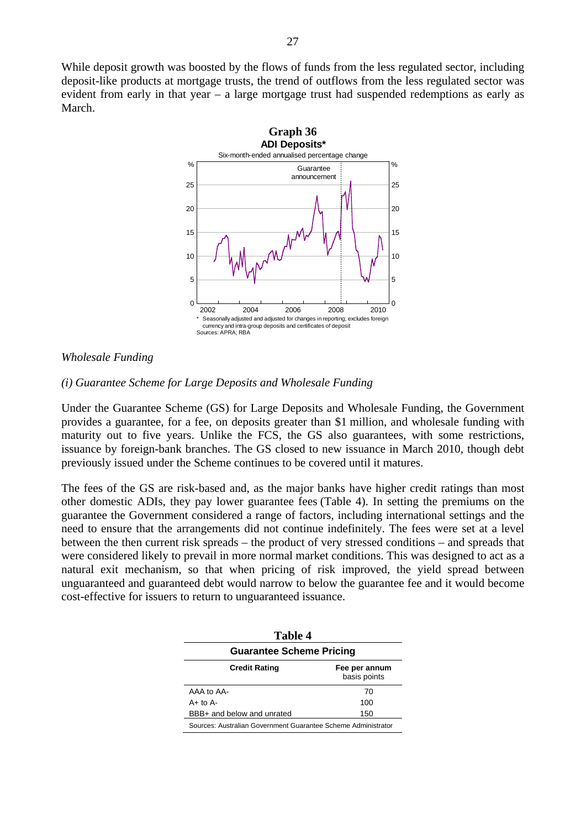While deposit growth was boosted by the flows of funds from the less regulated sector, including deposit-like products at mortgage trusts, the trend of outflows from the less regulated sector was evident from early in that year – a large mortgage trust had suspended redemptions as early as March.



### *Wholesale Funding*

### *(i) Guarantee Scheme for Large Deposits and Wholesale Funding*

Under the Guarantee Scheme (GS) for Large Deposits and Wholesale Funding, the Government provides a guarantee, for a fee, on deposits greater than \$1 million, and wholesale funding with maturity out to five years. Unlike the FCS, the GS also guarantees, with some restrictions, issuance by foreign-bank branches. The GS closed to new issuance in March 2010, though debt previously issued under the Scheme continues to be covered until it matures.

The fees of the GS are risk-based and, as the major banks have higher credit ratings than most other domestic ADIs, they pay lower guarantee fees (Table 4). In setting the premiums on the guarantee the Government considered a range of factors, including international settings and the need to ensure that the arrangements did not continue indefinitely. The fees were set at a level between the then current risk spreads – the product of very stressed conditions – and spreads that were considered likely to prevail in more normal market conditions. This was designed to act as a natural exit mechanism, so that when pricing of risk improved, the yield spread between unguaranteed and guaranteed debt would narrow to below the guarantee fee and it would become cost-effective for issuers to return to unguaranteed issuance.

| Table 4                                                       |                               |  |  |  |  |
|---------------------------------------------------------------|-------------------------------|--|--|--|--|
| <b>Guarantee Scheme Pricing</b>                               |                               |  |  |  |  |
| <b>Credit Rating</b>                                          | Fee per annum<br>basis points |  |  |  |  |
| AAA to AA-                                                    | 70                            |  |  |  |  |
| $A+$ to $A-$                                                  | 100                           |  |  |  |  |
| BBB+ and below and unrated                                    | 150                           |  |  |  |  |
| Sources: Australian Government Guarantee Scheme Administrator |                               |  |  |  |  |